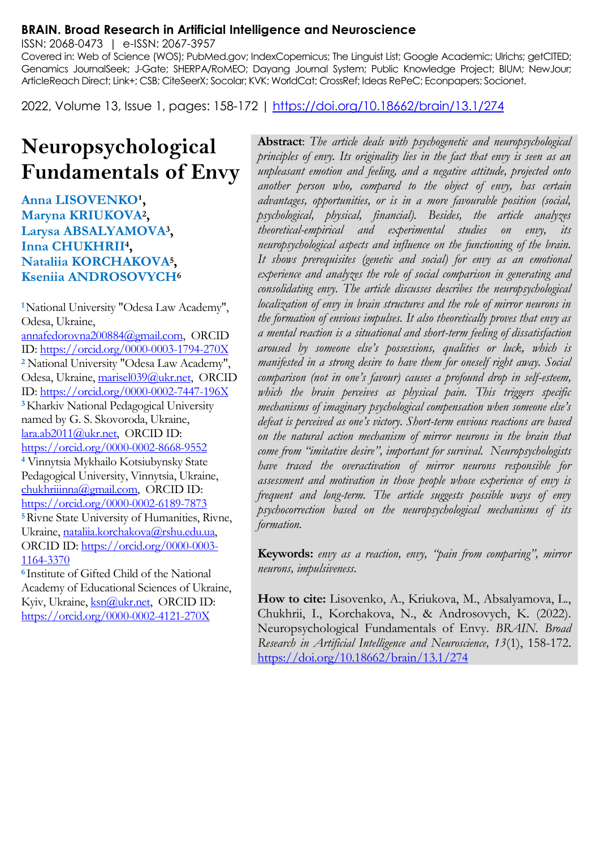#### **BRAIN. Broad Research in Artificial Intelligence and Neuroscience**

ISSN: 2068-0473 | e-ISSN: 2067-3957

Covered in: Web of Science (WOS); PubMed.gov; IndexCopernicus; The Linguist List; Google Academic; Ulrichs; getCITED; Genamics JournalSeek; J-Gate; SHERPA/RoMEO; Dayang Journal System; Public Knowledge Project; BIUM; NewJour; ArticleReach Direct; Link+; CSB; CiteSeerX; Socolar; KVK; WorldCat; CrossRef; Ideas RePeC; Econpapers; Socionet.

2022, Volume 13, Issue 1, pages: 158-172 |<https://doi.org/10.18662/brain/13.1/274>

# **Neuropsychological Fundamentals of Envy**

Anna LISOVENKO<sup>1</sup>, **Maryna KRIUKOVA<sup>2</sup> , Larysa ABSALYAMOVA<sup>3</sup> , Inna CHUKHRII<sup>4</sup> , Nataliia KORCHAKOVA<sup>5</sup> , Kseniia ANDROSOVYCH<sup>6</sup>**

**<sup>1</sup>**National University "Odesa Law Academy", Odesa, Ukraine, [annafedorovna200884@gmail.com,](mailto:annafedorovna200884@gmail.com) ORCID ID[: https://orcid.org/0000-0003-1794-270X](https://orcid.org/0000-0003-1794-270X) **<sup>2</sup>** National University "Odesa Law Academy", Odesa, Ukraine[, marisel039@ukr.net,](mailto:marisel039@ukr.net) ORCID ID[: https://orcid.org/0000-0002-7447-196X](https://orcid.org/0000-0002-7447-196X) **<sup>3</sup>**Kharkiv National Pedagogical University named by G. S. Skovoroda, Ukraine, [lara.ab2011@ukr.net,](mailto:lara.ab2011@ukr.net) ORCID ID: <https://orcid.org/0000-0002-8668-9552> **<sup>4</sup>** Vinnytsia Mykhailo Kotsiubynsky State Pedagogical University, Vinnytsia, Ukraine, [chukhriiinna@gmail.com,](mailto:chukhriiinna@gmail.com) ORCID ID: <https://orcid.org/0000-0002-6189-7873> **<sup>5</sup>**Rivne State University of Humanities, Rivne, Ukraine[, nataliia.korchakova@rshu.edu.ua,](mailto:nataliia.korchakova@rshu.edu.ua) ORCID ID[: https://orcid.org/0000-0003-](https://orcid.org/0000-0003-1164-3370) [1164-3370](https://orcid.org/0000-0003-1164-3370) **<sup>6</sup>**Institute of Gifted Child of the National

Academy of Educational Sciences of Ukraine, Kyiv, Ukraine[, ksn@ukr.net,](mailto:ksn@ukr.net) ORCID ID: <https://orcid.org/0000-0002-4121-270X>

**Abstract**: *The article deals with psychogenetic and neuropsychological principles of envy. Its originality lies in the fact that envy is seen as an unpleasant emotion and feeling, and a negative attitude, projected onto another person who, compared to the object of envy, has certain advantages, opportunities, or is in a more favourable position (social, psychological, physical, financial). Besides, the article analyzes theoretical-empirical and experimental studies on envy, its neuropsychological aspects and influence on the functioning of the brain. It shows prerequisites (genetic and social) for envy as an emotional experience and analyzes the role of social comparison in generating and consolidating envy. The article discusses describes the neuropsychological localization of envy in brain structures and the role of mirror neurons in the formation of envious impulses. It also theoretically proves that envy as a mental reaction is a situational and short-term feeling of dissatisfaction aroused by someone else's possessions, qualities or luck, which is manifested in a strong desire to have them for oneself right away. Social comparison (not in one's favour) causes a profound drop in self-esteem,*  which the brain perceives as physical pain. This triggers specific *mechanisms of imaginary psychological compensation when someone else's defeat is perceived as one's victory. Short-term envious reactions are based on the natural action mechanism of mirror neurons in the brain that come from "imitative desire", important for survival. Neuropsychologists have traced the overactivation of mirror neurons responsible for assessment and motivation in those people whose experience of envy is frequent and long-term. The article suggests possible ways of envy psychocorrection based on the neuropsychological mechanisms of its formation.*

**Keywords:** *envy as a reaction, envy, "pain from comparing", mirror neurons, impulsiveness.*

**How to cite:** Lisovenko, A., Kriukova, M., Absalyamova, L., Chukhrii, I., Korchakova, N., & Androsovych, K. (2022). Neuropsychological Fundamentals of Envy. *BRAIN. Broad Research in Artificial Intelligence and Neuroscience, 13*(1), 158-172. <https://doi.org/10.18662/brain/13.1/274>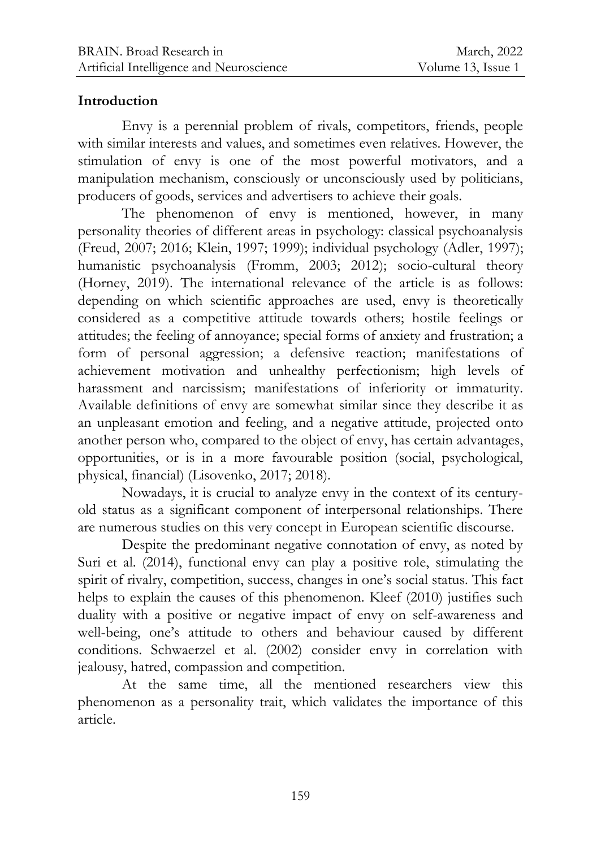## **Introduction**

Envy is a perennial problem of rivals, competitors, friends, people with similar interests and values, and sometimes even relatives. However, the stimulation of envy is one of the most powerful motivators, and a manipulation mechanism, consciously or unconsciously used by politicians, producers of goods, services and advertisers to achieve their goals.

The phenomenon of envy is mentioned, however, in many personality theories of different areas in psychology: classical psychoanalysis (Freud, 2007; 2016; Klein, 1997; 1999); individual psychology (Adler, 1997); humanistic psychoanalysis (Fromm, 2003; 2012); socio-cultural theory (Horney, 2019). The international relevance of the article is as follows: depending on which scientific approaches are used, envy is theoretically considered as a competitive attitude towards others; hostile feelings or attitudes; the feeling of annoyance; special forms of anxiety and frustration; a form of personal aggression; a defensive reaction; manifestations of achievement motivation and unhealthy perfectionism; high levels of harassment and narcissism; manifestations of inferiority or immaturity. Available definitions of envy are somewhat similar since they describe it as an unpleasant emotion and feeling, and a negative attitude, projected onto another person who, compared to the object of envy, has certain advantages, opportunities, or is in a more favourable position (social, psychological, physical, financial) (Lisovenko, 2017; 2018).

Nowadays, it is crucial to analyze envy in the context of its centuryold status as a significant component of interpersonal relationships. There are numerous studies on this very concept in European scientific discourse.

Despite the predominant negative connotation of envy, as noted by Suri et al. (2014), functional envy can play a positive role, stimulating the spirit of rivalry, competition, success, changes in one's social status. This fact helps to explain the causes of this phenomenon. Kleef (2010) justifies such duality with a positive or negative impact of envy on self-awareness and well-being, one's attitude to others and behaviour caused by different conditions. Schwaerzel et al. (2002) consider envy in correlation with jealousy, hatred, compassion and competition.

At the same time, all the mentioned researchers view this phenomenon as a personality trait, which validates the importance of this article.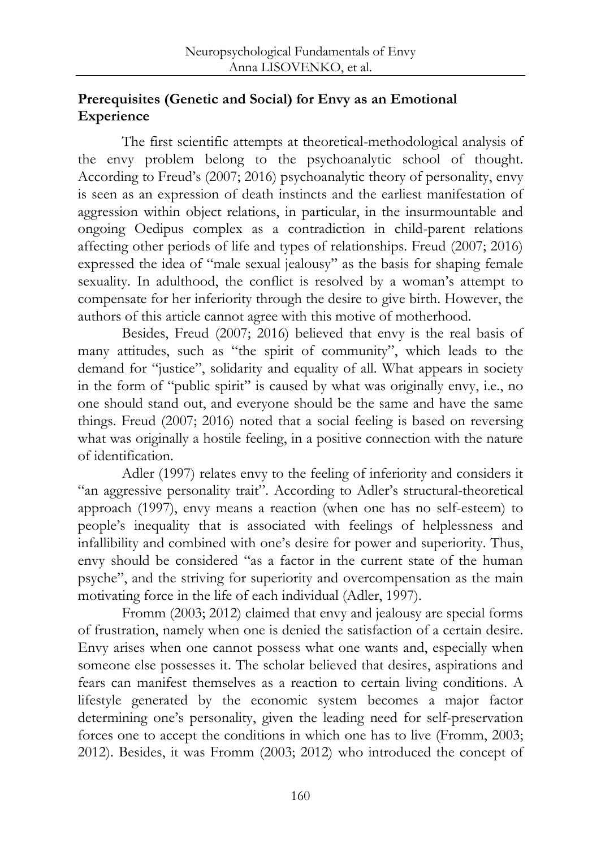# **Prerequisites (Genetic and Social) for Envy as an Emotional Experience**

The first scientific attempts at theoretical-methodological analysis of the envy problem belong to the psychoanalytic school of thought. According to Freud's (2007; 2016) psychoanalytic theory of personality, envy is seen as an expression of death instincts and the earliest manifestation of aggression within object relations, in particular, in the insurmountable and ongoing Oedipus complex as a contradiction in child-parent relations affecting other periods of life and types of relationships. Freud (2007; 2016) expressed the idea of "male sexual jealousy" as the basis for shaping female sexuality. In adulthood, the conflict is resolved by a woman's attempt to compensate for her inferiority through the desire to give birth. However, the authors of this article cannot agree with this motive of motherhood.

Besides, Freud (2007; 2016) believed that envy is the real basis of many attitudes, such as "the spirit of community", which leads to the demand for "justice", solidarity and equality of all. What appears in society in the form of "public spirit" is caused by what was originally envy, i.e., no one should stand out, and everyone should be the same and have the same things. Freud (2007; 2016) noted that a social feeling is based on reversing what was originally a hostile feeling, in a positive connection with the nature of identification.

Adler (1997) relates envy to the feeling of inferiority and considers it "an aggressive personality trait". According to Adler's structural-theoretical approach (1997), envy means a reaction (when one has no self-esteem) to people's inequality that is associated with feelings of helplessness and infallibility and combined with one's desire for power and superiority. Thus, envy should be considered "as a factor in the current state of the human psyche", and the striving for superiority and overcompensation as the main motivating force in the life of each individual (Adler, 1997).

Fromm (2003; 2012) claimed that envy and jealousy are special forms of frustration, namely when one is denied the satisfaction of a certain desire. Envy arises when one cannot possess what one wants and, especially when someone else possesses it. The scholar believed that desires, aspirations and fears can manifest themselves as a reaction to certain living conditions. A lifestyle generated by the economic system becomes a major factor determining one's personality, given the leading need for self-preservation forces one to accept the conditions in which one has to live (Fromm, 2003; 2012). Besides, it was Fromm (2003; 2012) who introduced the concept of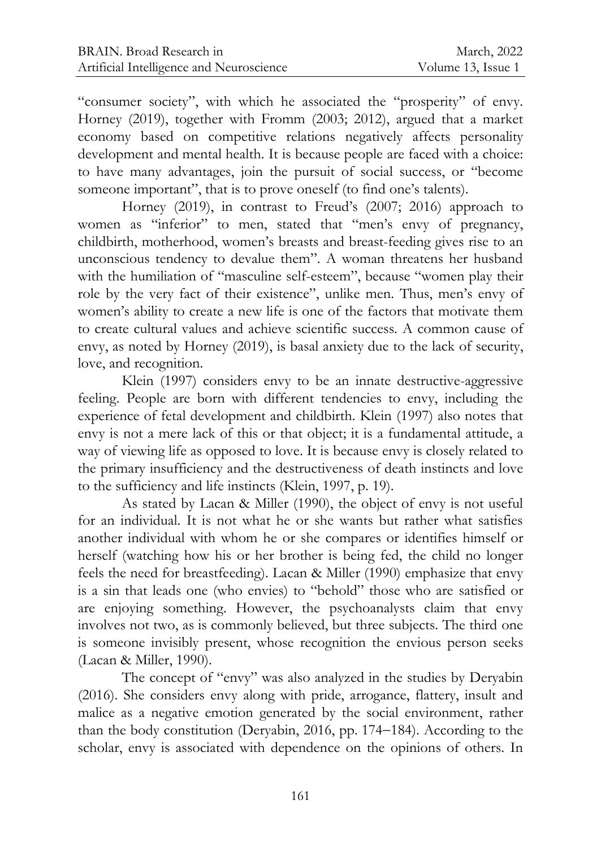"consumer society", with which he associated the "prosperity" of envy. Horney (2019), together with Fromm (2003; 2012), argued that a market economy based on competitive relations negatively affects personality development and mental health. It is because people are faced with a choice: to have many advantages, join the pursuit of social success, or "become someone important", that is to prove oneself (to find one's talents).

Horney (2019), in contrast to Freud's (2007; 2016) approach to women as "inferior" to men, stated that "men's envy of pregnancy, childbirth, motherhood, women's breasts and breast-feeding gives rise to an unconscious tendency to devalue them". A woman threatens her husband with the humiliation of "masculine self-esteem", because "women play their role by the very fact of their existence", unlike men. Thus, men's envy of women's ability to create a new life is one of the factors that motivate them to create cultural values and achieve scientific success. A common cause of envy, as noted by Horney (2019), is basal anxiety due to the lack of security, love, and recognition.

Klein (1997) considers envy to be an innate destructive-aggressive feeling. People are born with different tendencies to envy, including the experience of fetal development and childbirth. Klein (1997) also notes that envy is not a mere lack of this or that object; it is a fundamental attitude, a way of viewing life as opposed to love. It is because envy is closely related to the primary insufficiency and the destructiveness of death instincts and love to the sufficiency and life instincts (Klein, 1997, p. 19).

As stated by Lacan & Miller (1990), the object of envy is not useful for an individual. It is not what he or she wants but rather what satisfies another individual with whom he or she compares or identifies himself or herself (watching how his or her brother is being fed, the child no longer feels the need for breastfeeding). Lacan & Miller (1990) emphasize that envy is a sin that leads one (who envies) to "behold" those who are satisfied or are enjoying something. However, the psychoanalysts claim that envy involves not two, as is commonly believed, but three subjects. The third one is someone invisibly present, whose recognition the envious person seeks (Lacan & Miller, 1990).

The concept of "envy" was also analyzed in the studies by Deryabin (2016). She considers envy along with pride, arrogance, flattery, insult and malice as a negative emotion generated by the social environment, rather than the body constitution (Deryabin, 2016, pp. 174-184). According to the scholar, envy is associated with dependence on the opinions of others. In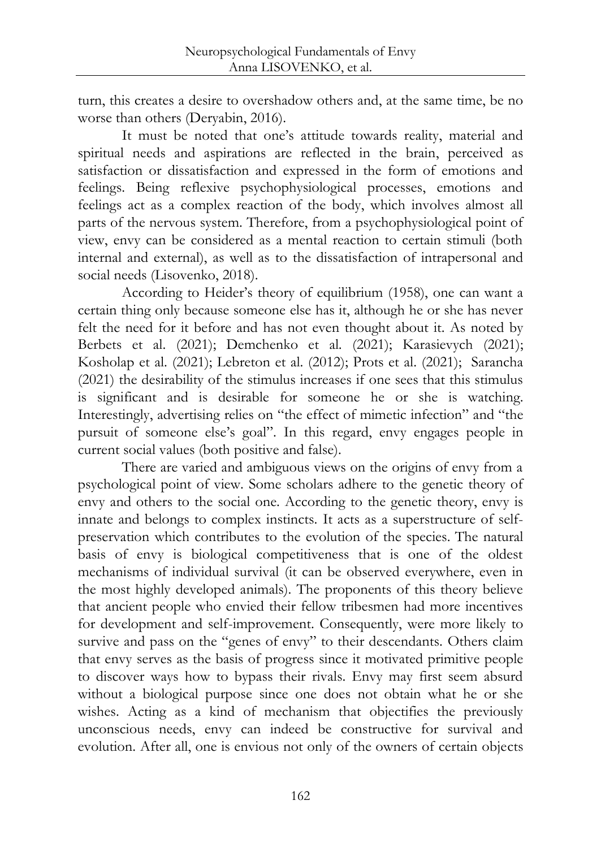turn, this creates a desire to overshadow others and, at the same time, be no worse than others (Deryabin, 2016).

It must be noted that one's attitude towards reality, material and spiritual needs and aspirations are reflected in the brain, perceived as satisfaction or dissatisfaction and expressed in the form of emotions and feelings. Being reflexive psychophysiological processes, emotions and feelings act as a complex reaction of the body, which involves almost all parts of the nervous system. Therefore, from a psychophysiological point of view, envy can be considered as a mental reaction to certain stimuli (both internal and external), as well as to the dissatisfaction of intrapersonal and social needs (Lisovenko, 2018).

According to Heider's theory of equilibrium (1958), one can want a certain thing only because someone else has it, although he or she has never felt the need for it before and has not even thought about it. As noted by Berbets et al. (2021); Demchenko et al. (2021); Karasievych (2021); Kosholap et al. (2021); Lebreton et al. (2012); Prots et al. (2021); Sarancha (2021) the desirability of the stimulus increases if one sees that this stimulus is significant and is desirable for someone he or she is watching. Interestingly, advertising relies on "the effect of mimetic infection" and "the pursuit of someone else's goal". In this regard, envy engages people in current social values (both positive and false).

There are varied and ambiguous views on the origins of envy from a psychological point of view. Some scholars adhere to the genetic theory of envy and others to the social one. According to the genetic theory, envy is innate and belongs to complex instincts. It acts as a superstructure of selfpreservation which contributes to the evolution of the species. The natural basis of envy is biological competitiveness that is one of the oldest mechanisms of individual survival (it can be observed everywhere, even in the most highly developed animals). The proponents of this theory believe that ancient people who envied their fellow tribesmen had more incentives for development and self-improvement. Consequently, were more likely to survive and pass on the "genes of envy" to their descendants. Others claim that envy serves as the basis of progress since it motivated primitive people to discover ways how to bypass their rivals. Envy may first seem absurd without a biological purpose since one does not obtain what he or she wishes. Acting as a kind of mechanism that objectifies the previously unconscious needs, envy can indeed be constructive for survival and evolution. After all, one is envious not only of the owners of certain objects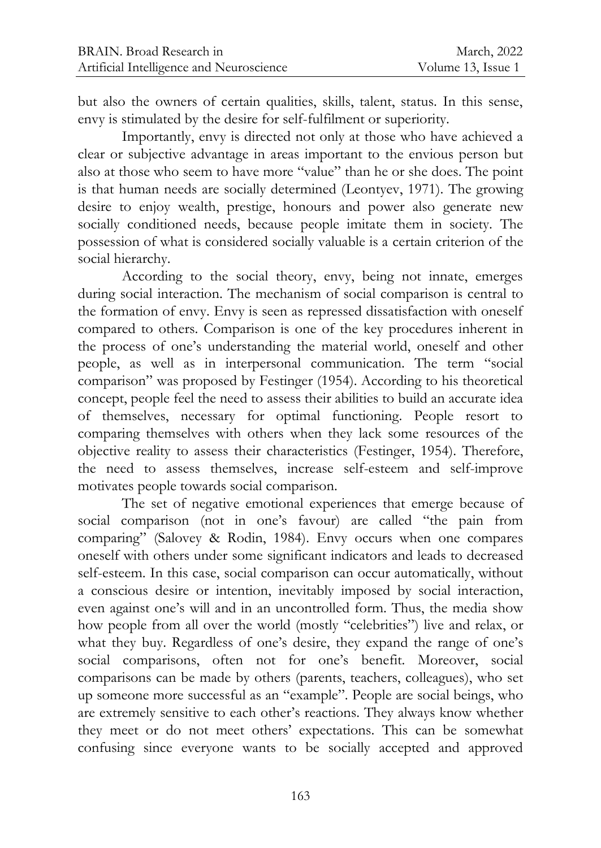but also the owners of certain qualities, skills, talent, status. In this sense, envy is stimulated by the desire for self-fulfilment or superiority.

Importantly, envy is directed not only at those who have achieved a clear or subjective advantage in areas important to the envious person but also at those who seem to have more "value" than he or she does. The point is that human needs are socially determined (Leontyev, 1971). The growing desire to enjoy wealth, prestige, honours and power also generate new socially conditioned needs, because people imitate them in society. The possession of what is considered socially valuable is a certain criterion of the social hierarchy.

According to the social theory, envy, being not innate, emerges during social interaction. The mechanism of social comparison is central to the formation of envy. Envy is seen as repressed dissatisfaction with oneself compared to others. Comparison is one of the key procedures inherent in the process of one's understanding the material world, oneself and other people, as well as in interpersonal communication. The term "social comparison" was proposed by Festinger (1954). According to his theoretical concept, people feel the need to assess their abilities to build an accurate idea of themselves, necessary for optimal functioning. People resort to comparing themselves with others when they lack some resources of the objective reality to assess their characteristics (Festinger, 1954). Therefore, the need to assess themselves, increase self-esteem and self-improve motivates people towards social comparison.

The set of negative emotional experiences that emerge because of social comparison (not in one's favour) are called "the pain from comparing" (Salovey & Rodin, 1984). Envy occurs when one compares oneself with others under some significant indicators and leads to decreased self-esteem. In this case, social comparison can occur automatically, without a conscious desire or intention, inevitably imposed by social interaction, even against one's will and in an uncontrolled form. Thus, the media show how people from all over the world (mostly "celebrities") live and relax, or what they buy. Regardless of one's desire, they expand the range of one's social comparisons, often not for one's benefit. Moreover, social comparisons can be made by others (parents, teachers, colleagues), who set up someone more successful as an "example". People are social beings, who are extremely sensitive to each other's reactions. They always know whether they meet or do not meet others' expectations. This can be somewhat confusing since everyone wants to be socially accepted and approved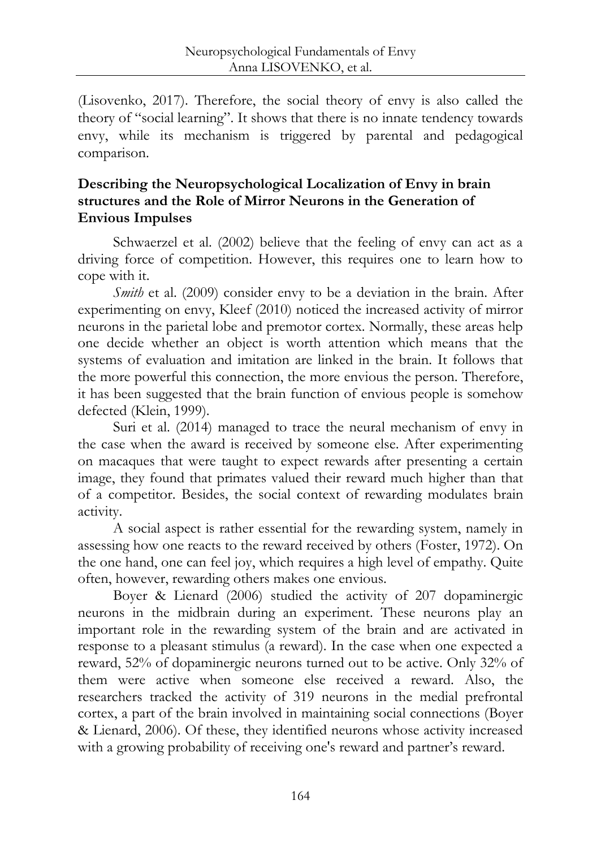(Lisovenko, 2017). Therefore, the social theory of envy is also called the theory of "social learning". It shows that there is no innate tendency towards envy, while its mechanism is triggered by parental and pedagogical comparison.

## **Describing the Neuropsychological Localization of Envy in brain structures and the Role of Mirror Neurons in the Generation of Envious Impulses**

Schwaerzel et al. (2002) believe that the feeling of envy can act as a driving force of competition. However, this requires one to learn how to cope with it.

*Smith* et al. (2009) consider envy to be a deviation in the brain. After experimenting on envy, Kleef (2010) noticed the increased activity of mirror neurons in the parietal lobe and premotor cortex. Normally, these areas help one decide whether an object is worth attention which means that the systems of evaluation and imitation are linked in the brain. It follows that the more powerful this connection, the more envious the person. Therefore, it has been suggested that the brain function of envious people is somehow defected (Klein, 1999).

Suri et al. (2014) managed to trace the neural mechanism of envy in the case when the award is received by someone else. After experimenting on macaques that were taught to expect rewards after presenting a certain image, they found that primates valued their reward much higher than that of a competitor. Besides, the social context of rewarding modulates brain activity.

A social aspect is rather essential for the rewarding system, namely in assessing how one reacts to the reward received by others (Foster, 1972). On the one hand, one can feel joy, which requires a high level of empathy. Quite often, however, rewarding others makes one envious.

Boyer & Lienard (2006) studied the activity of 207 dopaminergic neurons in the midbrain during an experiment. These neurons play an important role in the rewarding system of the brain and are activated in response to a pleasant stimulus (a reward). In the case when one expected a reward, 52% of dopaminergic neurons turned out to be active. Only 32% of them were active when someone else received a reward. Also, the researchers tracked the activity of 319 neurons in the medial prefrontal cortex, a part of the brain involved in maintaining social connections (Boyer & Lienard, 2006). Of these, they identified neurons whose activity increased with a growing probability of receiving one's reward and partner's reward.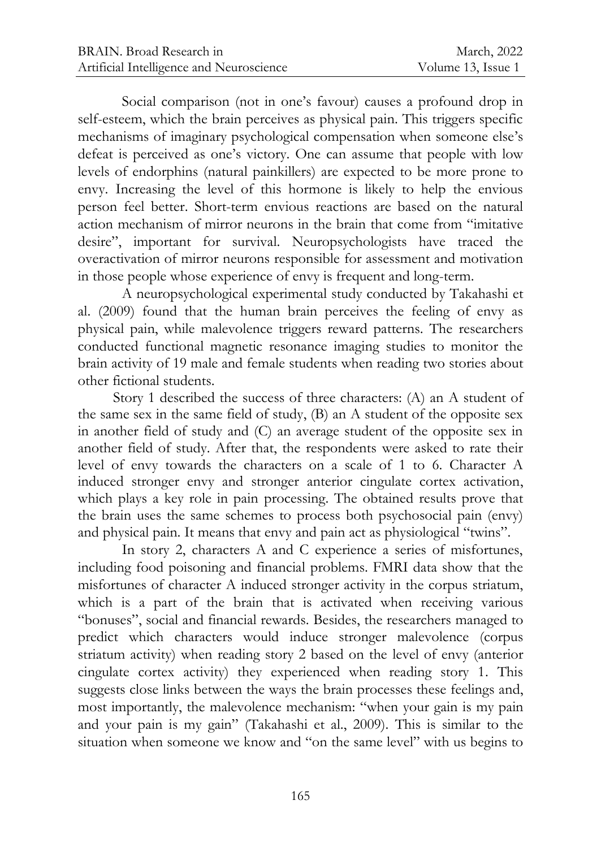Social comparison (not in one's favour) causes a profound drop in self-esteem, which the brain perceives as physical pain. This triggers specific mechanisms of imaginary psychological compensation when someone else's defeat is perceived as one's victory. One can assume that people with low levels of endorphins (natural painkillers) are expected to be more prone to envy. Increasing the level of this hormone is likely to help the envious person feel better. Short-term envious reactions are based on the natural action mechanism of mirror neurons in the brain that come from "imitative desire", important for survival. Neuropsychologists have traced the overactivation of mirror neurons responsible for assessment and motivation in those people whose experience of envy is frequent and long-term.

A neuropsychological experimental study conducted by Takahashi et al. (2009) found that the human brain perceives the feeling of envy as physical pain, while malevolence triggers reward patterns. The researchers conducted functional magnetic resonance imaging studies to monitor the brain activity of 19 male and female students when reading two stories about other fictional students.

Story 1 described the success of three characters: (A) an A student of the same sex in the same field of study, (B) an A student of the opposite sex in another field of study and (C) an average student of the opposite sex in another field of study. After that, the respondents were asked to rate their level of envy towards the characters on a scale of 1 to 6. Character A induced stronger envy and stronger anterior cingulate cortex activation, which plays a key role in pain processing. The obtained results prove that the brain uses the same schemes to process both psychosocial pain (envy) and physical pain. It means that envy and pain act as physiological "twins".

In story 2, characters A and C experience a series of misfortunes, including food poisoning and financial problems. FMRI data show that the misfortunes of character A induced stronger activity in the corpus striatum, which is a part of the brain that is activated when receiving various "bonuses", social and financial rewards. Besides, the researchers managed to predict which characters would induce stronger malevolence (corpus striatum activity) when reading story 2 based on the level of envy (anterior cingulate cortex activity) they experienced when reading story 1. This suggests close links between the ways the brain processes these feelings and, most importantly, the malevolence mechanism: "when your gain is my pain and your pain is my gain" (Takahashi et al., 2009). This is similar to the situation when someone we know and "on the same level" with us begins to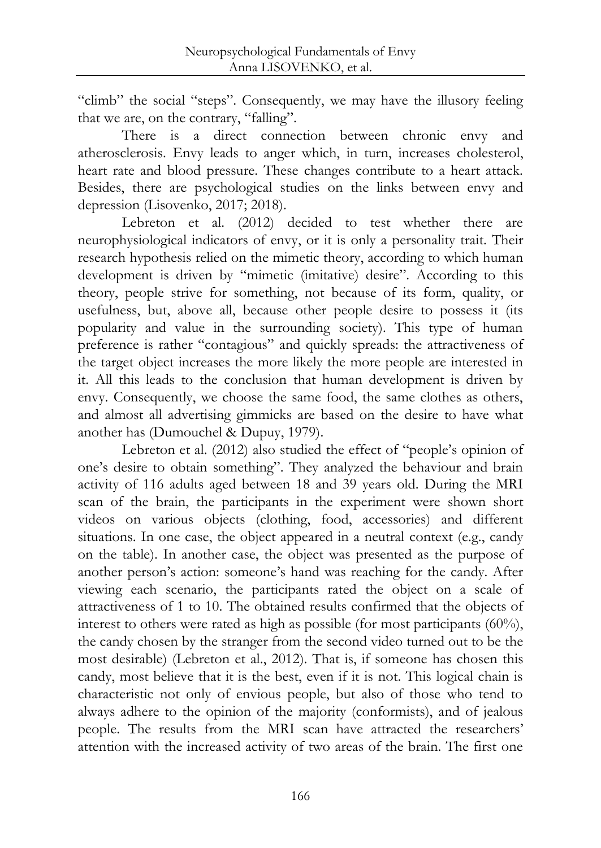"climb" the social "steps". Consequently, we may have the illusory feeling that we are, on the contrary, "falling".

There is a direct connection between chronic envy and atherosclerosis. Envy leads to anger which, in turn, increases cholesterol, heart rate and blood pressure. These changes contribute to a heart attack. Besides, there are psychological studies on the links between envy and depression (Lisovenko, 2017; 2018).

Lebreton et al. (2012) decided to test whether there are neurophysiological indicators of envy, or it is only a personality trait. Their research hypothesis relied on the mimetic theory, according to which human development is driven by "mimetic (imitative) desire". According to this theory, people strive for something, not because of its form, quality, or usefulness, but, above all, because other people desire to possess it (its popularity and value in the surrounding society). This type of human preference is rather "contagious" and quickly spreads: the attractiveness of the target object increases the more likely the more people are interested in it. All this leads to the conclusion that human development is driven by envy. Consequently, we choose the same food, the same clothes as others, and almost all advertising gimmicks are based on the desire to have what another has (Dumouchel & Dupuy, 1979).

Lebreton et al. (2012) also studied the effect of "people's opinion of one's desire to obtain something". They analyzed the behaviour and brain activity of 116 adults aged between 18 and 39 years old. During the MRI scan of the brain, the participants in the experiment were shown short videos on various objects (clothing, food, accessories) and different situations. In one case, the object appeared in a neutral context (e.g., candy on the table). In another case, the object was presented as the purpose of another person's action: someone's hand was reaching for the candy. After viewing each scenario, the participants rated the object on a scale of attractiveness of 1 to 10. The obtained results confirmed that the objects of interest to others were rated as high as possible (for most participants (60%), the candy chosen by the stranger from the second video turned out to be the most desirable) (Lebreton et al., 2012). That is, if someone has chosen this candy, most believe that it is the best, even if it is not. This logical chain is characteristic not only of envious people, but also of those who tend to always adhere to the opinion of the majority (conformists), and of jealous people. The results from the MRI scan have attracted the researchers' attention with the increased activity of two areas of the brain. The first one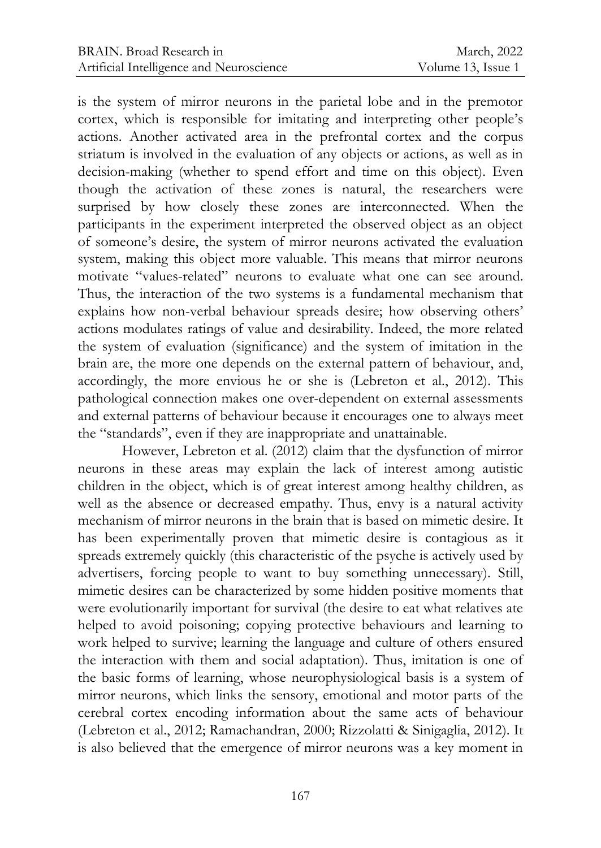is the system of mirror neurons in the parietal lobe and in the premotor cortex, which is responsible for imitating and interpreting other people's actions. Another activated area in the prefrontal cortex and the corpus striatum is involved in the evaluation of any objects or actions, as well as in decision-making (whether to spend effort and time on this object). Even though the activation of these zones is natural, the researchers were surprised by how closely these zones are interconnected. When the participants in the experiment interpreted the observed object as an object of someone's desire, the system of mirror neurons activated the evaluation system, making this object more valuable. This means that mirror neurons motivate "values-related" neurons to evaluate what one can see around. Thus, the interaction of the two systems is a fundamental mechanism that explains how non-verbal behaviour spreads desire; how observing others' actions modulates ratings of value and desirability. Indeed, the more related the system of evaluation (significance) and the system of imitation in the brain are, the more one depends on the external pattern of behaviour, and, accordingly, the more envious he or she is (Lebreton et al., 2012). This pathological connection makes one over-dependent on external assessments and external patterns of behaviour because it encourages one to always meet the "standards", even if they are inappropriate and unattainable.

However, Lebreton et al. (2012) claim that the dysfunction of mirror neurons in these areas may explain the lack of interest among autistic children in the object, which is of great interest among healthy children, as well as the absence or decreased empathy. Thus, envy is a natural activity mechanism of mirror neurons in the brain that is based on mimetic desire. It has been experimentally proven that mimetic desire is contagious as it spreads extremely quickly (this characteristic of the psyche is actively used by advertisers, forcing people to want to buy something unnecessary). Still, mimetic desires can be characterized by some hidden positive moments that were evolutionarily important for survival (the desire to eat what relatives ate helped to avoid poisoning; copying protective behaviours and learning to work helped to survive; learning the language and culture of others ensured the interaction with them and social adaptation). Thus, imitation is one of the basic forms of learning, whose neurophysiological basis is a system of mirror neurons, which links the sensory, emotional and motor parts of the cerebral cortex encoding information about the same acts of behaviour (Lebreton et al., 2012; Ramachandran, 2000; Rizzolatti & Sinigaglia, 2012). It is also believed that the emergence of mirror neurons was a key moment in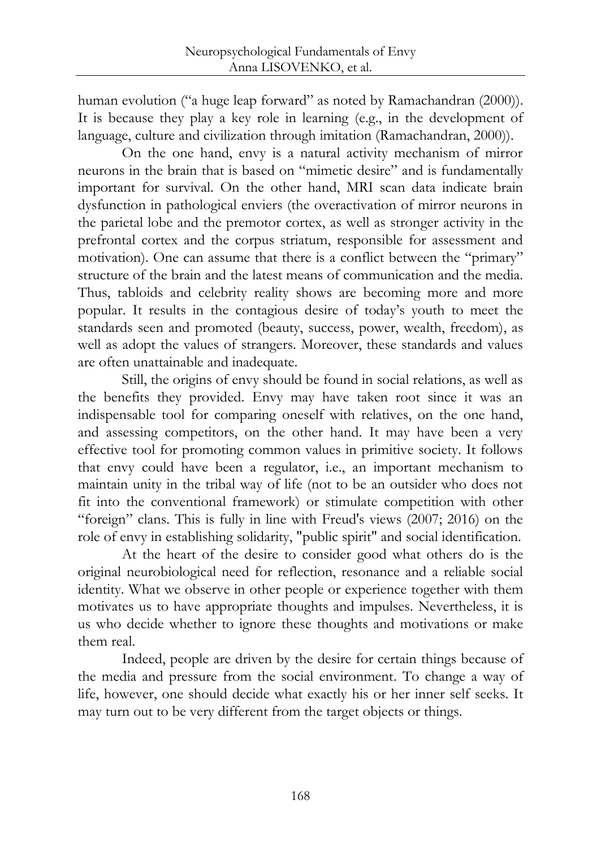human evolution ("a huge leap forward" as noted by Ramachandran (2000)). It is because they play a key role in learning (e.g., in the development of language, culture and civilization through imitation (Ramachandran, 2000)).

On the one hand, envy is a natural activity mechanism of mirror neurons in the brain that is based on "mimetic desire" and is fundamentally important for survival. On the other hand, MRI scan data indicate brain dysfunction in pathological enviers (the overactivation of mirror neurons in the parietal lobe and the premotor cortex, as well as stronger activity in the prefrontal cortex and the corpus striatum, responsible for assessment and motivation). One can assume that there is a conflict between the "primary" structure of the brain and the latest means of communication and the media. Thus, tabloids and celebrity reality shows are becoming more and more popular. It results in the contagious desire of today's youth to meet the standards seen and promoted (beauty, success, power, wealth, freedom), as well as adopt the values of strangers. Moreover, these standards and values are often unattainable and inadequate.

Still, the origins of envy should be found in social relations, as well as the benefits they provided. Envy may have taken root since it was an indispensable tool for comparing oneself with relatives, on the one hand, and assessing competitors, on the other hand. It may have been a very effective tool for promoting common values in primitive society. It follows that envy could have been a regulator, i.e., an important mechanism to maintain unity in the tribal way of life (not to be an outsider who does not fit into the conventional framework) or stimulate competition with other "foreign" clans. This is fully in line with Freud's views (2007; 2016) on the role of envy in establishing solidarity, "public spirit" and social identification.

At the heart of the desire to consider good what others do is the original neurobiological need for reflection, resonance and a reliable social identity. What we observe in other people or experience together with them motivates us to have appropriate thoughts and impulses. Nevertheless, it is us who decide whether to ignore these thoughts and motivations or make them real.

Indeed, people are driven by the desire for certain things because of the media and pressure from the social environment. To change a way of life, however, one should decide what exactly his or her inner self seeks. It may turn out to be very different from the target objects or things.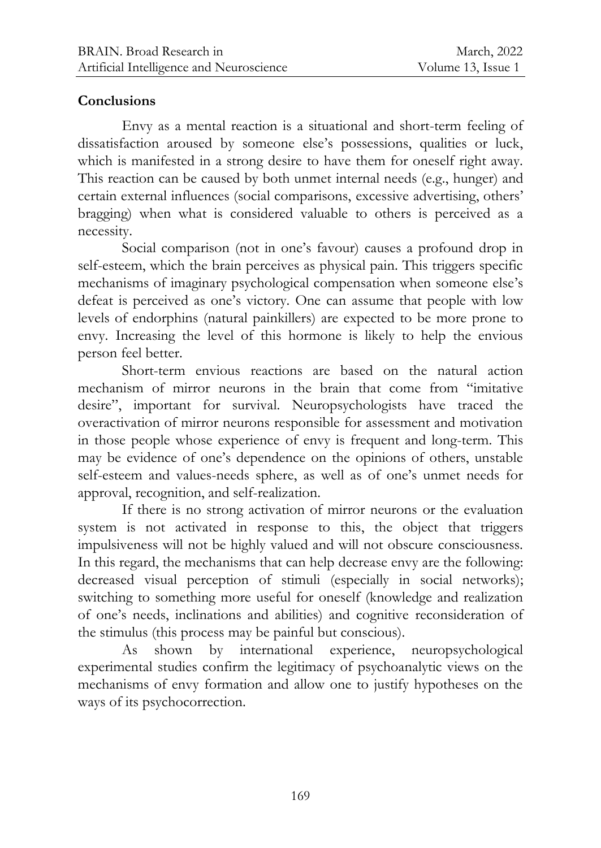## **Conclusions**

Envy as a mental reaction is a situational and short-term feeling of dissatisfaction aroused by someone else's possessions, qualities or luck, which is manifested in a strong desire to have them for oneself right away. This reaction can be caused by both unmet internal needs (e.g., hunger) and certain external influences (social comparisons, excessive advertising, others' bragging) when what is considered valuable to others is perceived as a necessity.

Social comparison (not in one's favour) causes a profound drop in self-esteem, which the brain perceives as physical pain. This triggers specific mechanisms of imaginary psychological compensation when someone else's defeat is perceived as one's victory. One can assume that people with low levels of endorphins (natural painkillers) are expected to be more prone to envy. Increasing the level of this hormone is likely to help the envious person feel better.

Short-term envious reactions are based on the natural action mechanism of mirror neurons in the brain that come from "imitative desire", important for survival. Neuropsychologists have traced the overactivation of mirror neurons responsible for assessment and motivation in those people whose experience of envy is frequent and long-term. This may be evidence of one's dependence on the opinions of others, unstable self-esteem and values-needs sphere, as well as of one's unmet needs for approval, recognition, and self-realization.

If there is no strong activation of mirror neurons or the evaluation system is not activated in response to this, the object that triggers impulsiveness will not be highly valued and will not obscure consciousness. In this regard, the mechanisms that can help decrease envy are the following: decreased visual perception of stimuli (especially in social networks); switching to something more useful for oneself (knowledge and realization of one's needs, inclinations and abilities) and cognitive reconsideration of the stimulus (this process may be painful but conscious).

As shown by international experience, neuropsychological experimental studies confirm the legitimacy of psychoanalytic views on the mechanisms of envy formation and allow one to justify hypotheses on the ways of its psychocorrection.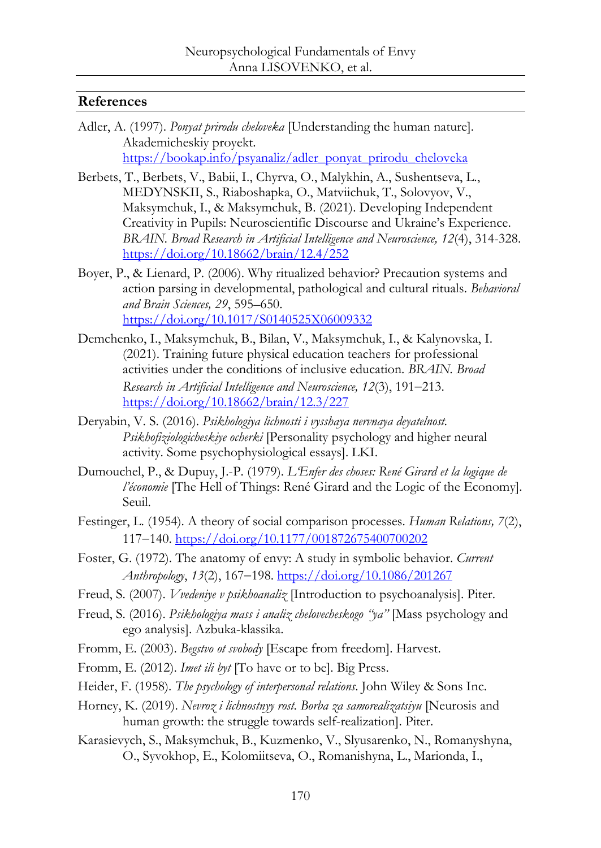#### **References**

- Adler, A. (1997). *Ponyat prirodu cheloveka* [Understanding the human nature]. Akademicheskiy proyekt. [https://bookap.info/psyanaliz/adler\\_ponyat\\_prirodu\\_cheloveka](https://bookap.info/psyanaliz/adler_ponyat_prirodu_cheloveka)
- Berbets, T., Berbets, V., Babii, I., Chyrva, O., Malykhin, A., Sushentseva, L., MEDYNSKII, S., Riaboshapka, O., Matviichuk, T., Solovyov, V., Maksymchuk, I., & Maksymchuk, B. (2021). Developing Independent Creativity in Pupils: Neuroscientific Discourse and Ukraine's Experience. *BRAIN. Broad Research in Artificial Intelligence and Neuroscience, 12*(4), 314-328. <https://doi.org/10.18662/brain/12.4/252>
- Boyer, P., & Lienard, P. (2006). Why ritualized behavior? Precaution systems and action parsing in developmental, pathological and cultural rituals. *Behavioral and Brain Sciences, 29*, 595–650. <https://doi.org/10.1017/S0140525X06009332>
- Demchenko, I., Maksymchuk, B., Bilan, V., Maksymchuk, I., & Kalynovska, I. (2021). Training future physical education teachers for professional activities under the conditions of inclusive education. *BRAIN. Broad*  Research in Artificial Intelligence and Neuroscience, 12(3), 191-213. <https://doi.org/10.18662/brain/12.3/227>
- Deryabin, V. S. (2016). *Psikhologiya lichnosti i vysshaya nervnaya deyatelnost. Psikhofiziologicheskiye ocherki* [Personality psychology and higher neural activity. Some psychophysiological essays]. LKI.
- Dumouchel, P., & Dupuy, J.-P. (1979). *L'Enfer des choses: René Girard et la logique de l'économie* [The Hell of Things: René Girard and the Logic of the Economy]. Seuil.
- Festinger, L. (1954). A theory of social comparison processes. *Human Relations, 7*(2), 117140.<https://doi.org/10.1177/001872675400700202>
- Foster, G. (1972). The anatomy of envy: A study in symbolic behavior. *Current*  Anthropology, 13(2), 167-198.<https://doi.org/10.1086/201267>
- Freud, S. (2007). *Vvedeniye v psikhoanaliz* [Introduction to psychoanalysis]. Piter.
- Freud, S. (2016). *Psikhologiya mass i analiz chelovecheskogo "ya"* [Mass psychology and ego analysis]. Azbuka-klassika.
- Fromm, E. (2003). *Begstvo ot svobody* [Escape from freedom]. Harvest.
- Fromm, E. (2012). *Imet ili byt* [To have or to be]. Big Press.
- Heider, F. (1958). *The psychology of interpersonal relations*. John Wiley & Sons Inc.
- Horney, K. (2019). *Nevroz i lichnostnyy rost. Borba za samorealizatsiyu* [Neurosis and human growth: the struggle towards self-realization]. Piter.
- Karasievych, S., Maksymchuk, B., Kuzmenko, V., Slyusarenko, N., Romanyshyna, O., Syvokhop, E., Kolomiitseva, O., Romanishyna, L., Marionda, I.,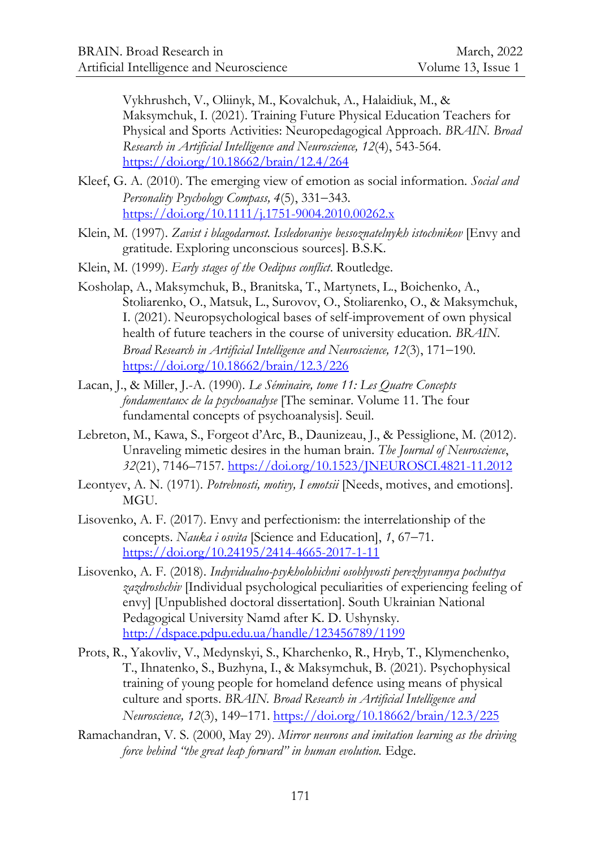Vykhrushch, V., Oliinyk, M., Kovalchuk, A., Halaidiuk, M., & Maksymchuk, I. (2021). Training Future Physical Education Teachers for Physical and Sports Activities: Neuropedagogical Approach. *BRAIN. Broad Research in Artificial Intelligence and Neuroscience, 12*(4), 543-564. <https://doi.org/10.18662/brain/12.4/264>

- Kleef, G. A. (2010). The emerging view of emotion as social information. *Social and Personality Psychology Compass, 4(5), 331-343.* <https://doi.org/10.1111/j.1751-9004.2010.00262.x>
- Klein, M. (1997). *Zavist i blagodarnost. Issledovaniye bessoznatelnykh istochnikov* [Envy and gratitude. Exploring unconscious sources]. B.S.K.
- Klein, M. (1999). *Early stages of the Oedipus conflict*. Routledge.
- Kosholap, A., Maksymchuk, B., Branitska, T., Martynets, L., Boichenko, A., Stoliarenko, O., Matsuk, L., Surovov, O., Stoliarenko, O., & Maksymchuk, I. (2021). Neuropsychological bases of self-improvement of own physical health of future teachers in the course of university education. *BRAIN.*  Broad Research in Artificial Intelligence and Neuroscience, 12(3), 171-190. <https://doi.org/10.18662/brain/12.3/226>
- Lacan, J., & Miller, J.-A. (1990). *Le Séminaire, tome 11: Les Quatre Concepts fondamentaux de la psychoanalyse* [The seminar. Volume 11. The four fundamental concepts of psychoanalysis]. Seuil.
- Lebreton, M., Kawa, S., Forgeot d'Arc, B., Daunizeau, J., & Pessiglione, M. (2012). Unraveling mimetic desires in the human brain. *The Journal of Neuroscience*, *32*(21), 7146–7157.<https://doi.org/10.1523/JNEUROSCI.4821-11.2012>
- Leontyev, A. N. (1971). *Potrebnosti, motivy, I emotsii* [Needs, motives, and emotions]. MGU.
- Lisovenko, A. F. (2017). Еnvy and perfectionism: the interrelationship of the concepts. *Nauka i osvita* [Science and Education], 1, 67-71. <https://doi.org/10.24195/2414-4665-2017-1-11>
- Lisovenko, A. F. (2018). *Indyvidualno-psykholohichni osoblyvosti perezhyvannya pochuttya zazdroshchiv* [Individual psychological peculiarities of experiencing feeling of envy] [Unpublished doctoral dissertation]. South Ukrainian National Pedagogical University Namd after K. D. Ushynsky. <http://dspace.pdpu.edu.ua/handle/123456789/1199>
- Prots, R., Yakovliv, V., Medynskyi, S., Kharchenko, R., Hryb, T., Klymenchenko, T., Ihnatenko, S., Buzhyna, I., & Maksymchuk, B. (2021). Psychophysical training of young people for homeland defence using means of physical culture and sports. *BRAIN. Broad Research in Artificial Intelligence and Neuroscience, 12*(3), 149–171.<https://doi.org/10.18662/brain/12.3/225>
- Ramachandran, V. S. (2000, May 29). *Mirror neurons and imitation learning as the driving force behind "the great leap forward" in human evolution.* Edge.